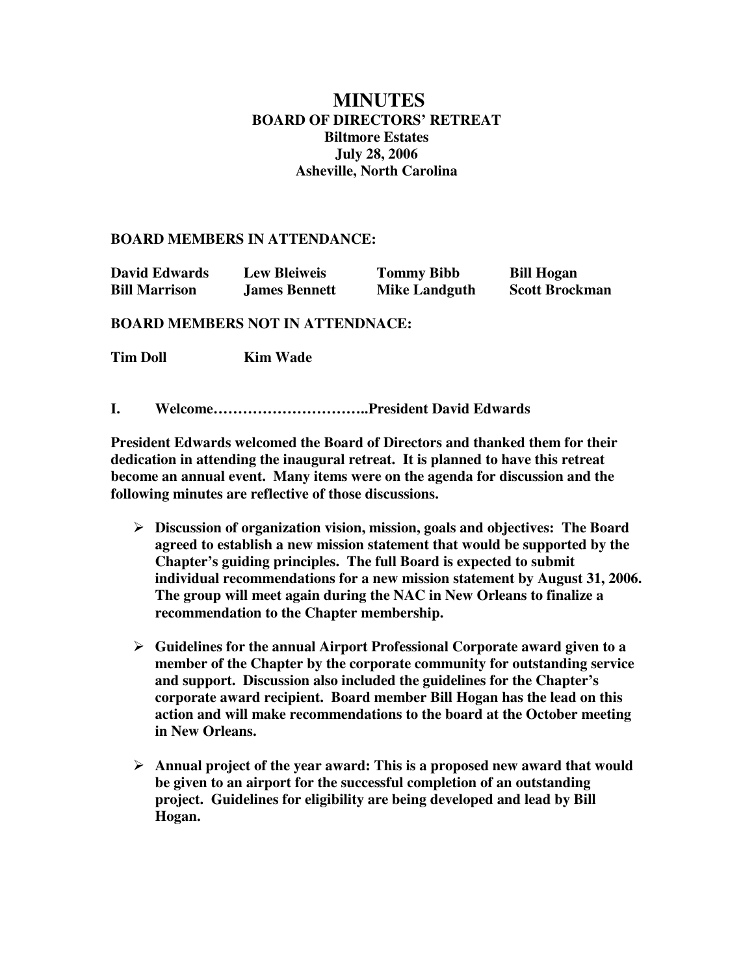## **MINUTES BOARD OF DIRECTORS' RETREAT Biltmore Estates July 28, 2006 Asheville, North Carolina**

## **BOARD MEMBERS IN ATTENDANCE:**

| <b>David Edwards</b> | <b>Lew Bleiweis</b>  | <b>Tommy Bibb</b>    | <b>Bill Hogan</b>     |
|----------------------|----------------------|----------------------|-----------------------|
| <b>Bill Marrison</b> | <b>James Bennett</b> | <b>Mike Landguth</b> | <b>Scott Brockman</b> |

## **BOARD MEMBERS NOT IN ATTENDNACE:**

**Tim Doll Kim Wade** 

**I. Welcome…………………………..President David Edwards**

**President Edwards welcomed the Board of Directors and thanked them for their dedication in attending the inaugural retreat. It is planned to have this retreat become an annual event. Many items were on the agenda for discussion and the following minutes are reflective of those discussions.**

- **Discussion of organization vision, mission, goals and objectives: The Board agreed to establish a new mission statement that would be supported by the Chapter's guiding principles. The full Board is expected to submit individual recommendations for a new mission statement by August 31, 2006. The group will meet again during the NAC in New Orleans to finalize a recommendation to the Chapter membership.**
- **Guidelines for the annual Airport Professional Corporate award given to a member of the Chapter by the corporate community for outstanding service and support. Discussion also included the guidelines for the Chapter's corporate award recipient. Board member Bill Hogan has the lead on this action and will make recommendations to the board at the October meeting in New Orleans.**
- **Annual project of the year award: This is a proposed new award that would be given to an airport for the successful completion of an outstanding project. Guidelines for eligibility are being developed and lead by Bill Hogan.**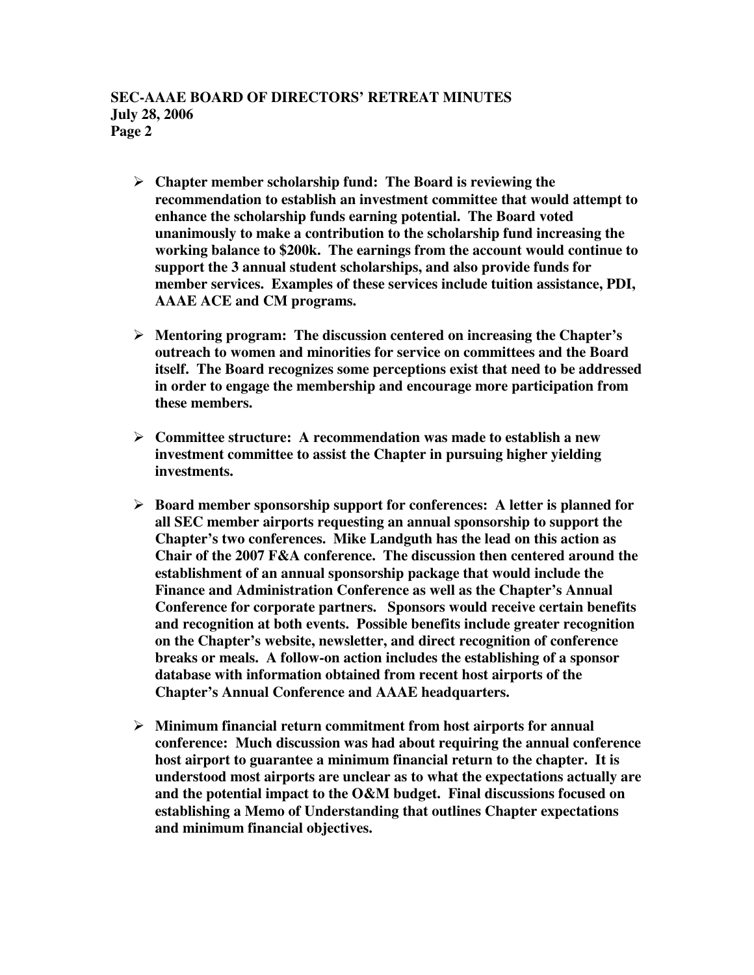- **Chapter member scholarship fund: The Board is reviewing the recommendation to establish an investment committee that would attempt to enhance the scholarship funds earning potential. The Board voted unanimously to make a contribution to the scholarship fund increasing the working balance to \$200k. The earnings from the account would continue to support the 3 annual student scholarships, and also provide funds for member services. Examples of these services include tuition assistance, PDI, AAAE ACE and CM programs.**
- **Mentoring program: The discussion centered on increasing the Chapter's outreach to women and minorities for service on committees and the Board itself. The Board recognizes some perceptions exist that need to be addressed in order to engage the membership and encourage more participation from these members.**
- **Committee structure: A recommendation was made to establish a new investment committee to assist the Chapter in pursuing higher yielding investments.**
- **Board member sponsorship support for conferences: A letter is planned for all SEC member airports requesting an annual sponsorship to support the Chapter's two conferences. Mike Landguth has the lead on this action as Chair of the 2007 F&A conference. The discussion then centered around the establishment of an annual sponsorship package that would include the Finance and Administration Conference as well as the Chapter's Annual Conference for corporate partners. Sponsors would receive certain benefits and recognition at both events. Possible benefits include greater recognition on the Chapter's website, newsletter, and direct recognition of conference breaks or meals. A follow-on action includes the establishing of a sponsor database with information obtained from recent host airports of the Chapter's Annual Conference and AAAE headquarters.**
- **Minimum financial return commitment from host airports for annual conference: Much discussion was had about requiring the annual conference host airport to guarantee a minimum financial return to the chapter. It is understood most airports are unclear as to what the expectations actually are and the potential impact to the O&M budget. Final discussions focused on establishing a Memo of Understanding that outlines Chapter expectations and minimum financial objectives.**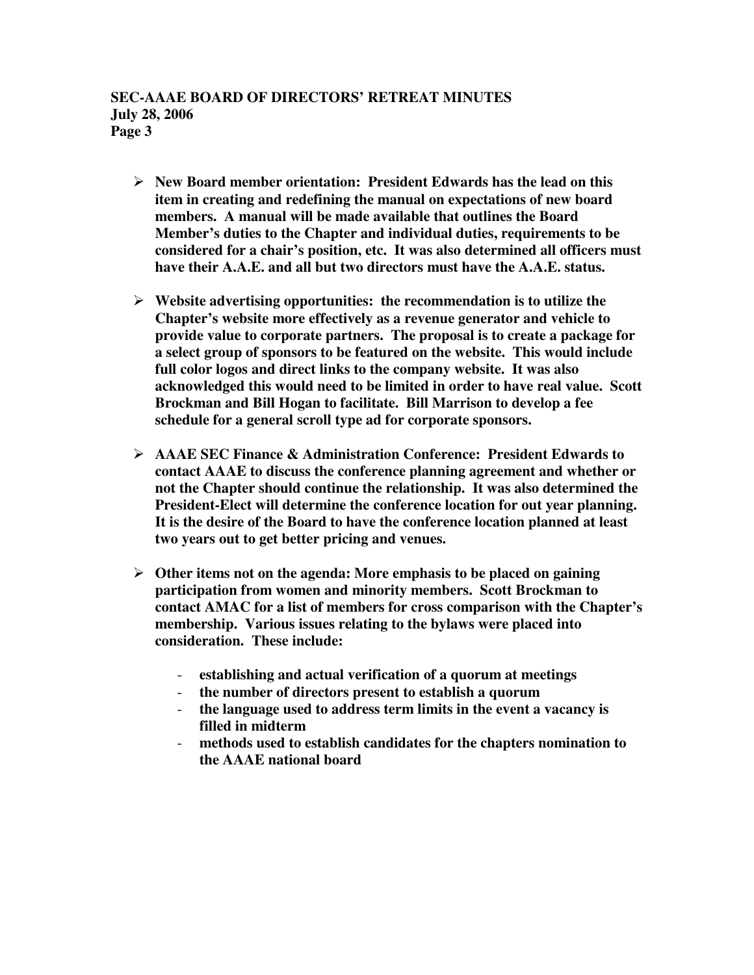- **New Board member orientation: President Edwards has the lead on this item in creating and redefining the manual on expectations of new board members. A manual will be made available that outlines the Board Member's duties to the Chapter and individual duties, requirements to be considered for a chair's position, etc. It was also determined all officers must have their A.A.E. and all but two directors must have the A.A.E. status.**
- **Website advertising opportunities: the recommendation is to utilize the Chapter's website more effectively as a revenue generator and vehicle to provide value to corporate partners. The proposal is to create a package for a select group of sponsors to be featured on the website. This would include full color logos and direct links to the company website. It was also acknowledged this would need to be limited in order to have real value. Scott Brockman and Bill Hogan to facilitate. Bill Marrison to develop a fee schedule for a general scroll type ad for corporate sponsors.**
- **AAAE SEC Finance & Administration Conference: President Edwards to contact AAAE to discuss the conference planning agreement and whether or not the Chapter should continue the relationship. It was also determined the President-Elect will determine the conference location for out year planning. It is the desire of the Board to have the conference location planned at least two years out to get better pricing and venues.**
- **Other items not on the agenda: More emphasis to be placed on gaining participation from women and minority members. Scott Brockman to contact AMAC for a list of members for cross comparison with the Chapter's membership. Various issues relating to the bylaws were placed into consideration. These include:**
	- **establishing and actual verification of a quorum at meetings**
	- **the number of directors present to establish a quorum**
	- **the language used to address term limits in the event a vacancy is filled in midterm**
	- **methods used to establish candidates for the chapters nomination to the AAAE national board**